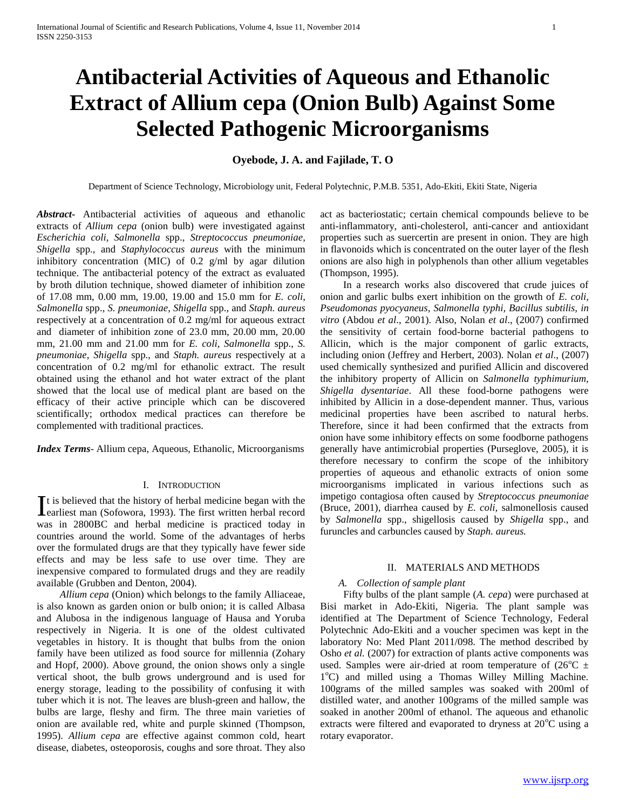# **Antibacterial Activities of Aqueous and Ethanolic Extract of Allium cepa (Onion Bulb) Against Some Selected Pathogenic Microorganisms**

# **Oyebode, J. A. and Fajilade, T. O**

Department of Science Technology, Microbiology unit, Federal Polytechnic, P.M.B. 5351, Ado-Ekiti, Ekiti State, Nigeria

*Abstract***-** Antibacterial activities of aqueous and ethanolic extracts of *Allium cepa* (onion bulb) were investigated against *Escherichia coli, Salmonella* spp., *Streptococcus pneumoniae*, *Shigella* spp., and *Staphylococcus aureus* with the minimum inhibitory concentration (MIC) of 0.2 g/ml by agar dilution technique. The antibacterial potency of the extract as evaluated by broth dilution technique, showed diameter of inhibition zone of 17.08 mm, 0.00 mm, 19.00, 19.00 and 15.0 mm for *E. coli, Salmonella* spp., *S. pneumoniae*, *Shigella* spp., and *Staph. aureus* respectively at a concentration of 0.2 mg/ml for aqueous extract and diameter of inhibition zone of 23.0 mm, 20.00 mm, 20.00 mm, 21.00 mm and 21.00 mm for *E. coli, Salmonella* spp., *S. pneumoniae*, *Shigella* spp., and *Staph. aureus* respectively at a concentration of 0.2 mg/ml for ethanolic extract. The result obtained using the ethanol and hot water extract of the plant showed that the local use of medical plant are based on the efficacy of their active principle which can be discovered scientifically; orthodox medical practices can therefore be complemented with traditional practices.

*Index Terms*- Allium cepa, Aqueous, Ethanolic, Microorganisms

#### I. INTRODUCTION

t is believed that the history of herbal medicine began with the It is believed that the history of herbal medicine began with the earliest man (Sofowora, 1993). The first written herbal record was in 2800BC and herbal medicine is practiced today in countries around the world. Some of the advantages of herbs over the formulated drugs are that they typically have fewer side effects and may be less safe to use over time. They are inexpensive compared to formulated drugs and they are readily available (Grubben and Denton, 2004).

 *Allium cepa* (Onion) which belongs to the family Alliaceae, is also known as garden onion or bulb onion; it is called Albasa and Alubosa in the indigenous language of Hausa and Yoruba respectively in Nigeria. It is one of the oldest cultivated vegetables in history. It is thought that bulbs from the onion family have been utilized as food source for millennia (Zohary and Hopf, 2000). Above ground, the onion shows only a single vertical shoot, the bulb grows underground and is used for energy storage, leading to the possibility of confusing it with tuber which it is not. The leaves are blush-green and hallow, the bulbs are large, fleshy and firm. The three main varieties of onion are available red, white and purple skinned (Thompson, 1995). *Allium cepa* are effective against common cold, heart disease, diabetes, osteoporosis, coughs and sore throat. They also

act as bacteriostatic; certain chemical compounds believe to be anti-inflammatory, anti-cholesterol, anti-cancer and antioxidant properties such as suercertin are present in onion. They are high in flavonoids which is concentrated on the outer layer of the flesh onions are also high in polyphenols than other allium vegetables (Thompson, 1995).

 In a research works also discovered that crude juices of onion and garlic bulbs exert inhibition on the growth of *E. coli, Pseudomonas pyocyaneus*, *Salmonella typhi, Bacillus subtilis, in vitro* (Abdou *et al*., 2001). Also, Nolan *et al*., (2007) confirmed the sensitivity of certain food-borne bacterial pathogens to Allicin, which is the major component of garlic extracts, including onion (Jeffrey and Herbert, 2003). Nolan *et al*., (2007) used chemically synthesized and purified Allicin and discovered the inhibitory property of Allicin on *Salmonella typhimurium, Shigella dysentariae*. All these food-borne pathogens were inhibited by Allicin in a dose-dependent manner. Thus, various medicinal properties have been ascribed to natural herbs. Therefore, since it had been confirmed that the extracts from onion have some inhibitory effects on some foodborne pathogens generally have antimicrobial properties (Purseglove, 2005), it is therefore necessary to confirm the scope of the inhibitory properties of aqueous and ethanolic extracts of onion some microorganisms implicated in various infections such as impetigo contagiosa often caused by *Streptococcus pneumoniae*  (Bruce, 2001), diarrhea caused by *E. coli,* salmonellosis caused by *Salmonella* spp., shigellosis caused by *Shigella* spp., and furuncles and carbuncles caused by *Staph. aureus.*

## II. MATERIALS AND METHODS

# *A. Collection of sample plant*

 Fifty bulbs of the plant sample (*A. cepa*) were purchased at Bisi market in Ado-Ekiti, Nigeria. The plant sample was identified at The Department of Science Technology, Federal Polytechnic Ado-Ekiti and a voucher specimen was kept in the laboratory No: Med Plant 2011/098. The method described by Osho *et al.* (2007) for extraction of plants active components was used. Samples were air-dried at room temperature of  $(26^{\circ}\text{C}) \pm$ 1°C) and milled using a Thomas Willey Milling Machine. 100grams of the milled samples was soaked with 200ml of distilled water, and another 100grams of the milled sample was soaked in another 200ml of ethanol. The aqueous and ethanolic extracts were filtered and evaporated to dryness at  $20^{\circ}$ C using a rotary evaporator.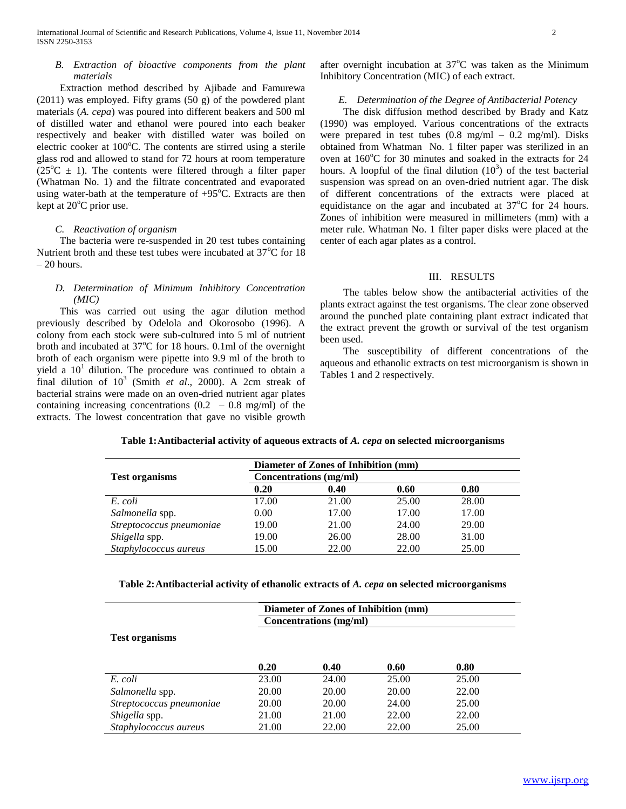## *B. Extraction of bioactive components from the plant materials*

 Extraction method described by Ajibade and Famurewa (2011) was employed. Fifty grams (50 g) of the powdered plant materials (*A. cepa*) was poured into different beakers and 500 ml of distilled water and ethanol were poured into each beaker respectively and beaker with distilled water was boiled on electric cooker at  $100^{\circ}$ C. The contents are stirred using a sterile glass rod and allowed to stand for 72 hours at room temperature  $(25^{\circ}\text{C} \pm 1)$ . The contents were filtered through a filter paper (Whatman No. 1) and the filtrate concentrated and evaporated using water-bath at the temperature of  $+95^{\circ}$ C. Extracts are then kept at  $20^{\circ}$ C prior use.

# *C. Reactivation of organism*

 The bacteria were re-suspended in 20 test tubes containing Nutrient broth and these test tubes were incubated at  $37^{\circ}$ C for 18 – 20 hours.

# *D. Determination of Minimum Inhibitory Concentration (MIC)*

 This was carried out using the agar dilution method previously described by Odelola and Okorosobo (1996). A colony from each stock were sub-cultured into 5 ml of nutrient broth and incubated at  $37^{\circ}$ C for 18 hours. 0.1ml of the overnight broth of each organism were pipette into 9.9 ml of the broth to yield a  $10<sup>1</sup>$  dilution. The procedure was continued to obtain a final dilution of  $10^3$  (Smith *et al.*, 2000). A 2cm streak of bacterial strains were made on an oven-dried nutrient agar plates containing increasing concentrations  $(0.2 - 0.8 \text{ mg/ml})$  of the extracts. The lowest concentration that gave no visible growth

after overnight incubation at  $37^{\circ}$ C was taken as the Minimum Inhibitory Concentration (MIC) of each extract.

# *E. Determination of the Degree of Antibacterial Potency*

 The disk diffusion method described by Brady and Katz (1990) was employed. Various concentrations of the extracts were prepared in test tubes  $(0.8 \text{ mg/ml} - 0.2 \text{ mg/ml})$ . Disks obtained from Whatman No. 1 filter paper was sterilized in an oven at  $160^{\circ}$ C for 30 minutes and soaked in the extracts for 24 hours. A loopful of the final dilution  $(10^3)$  of the test bacterial suspension was spread on an oven-dried nutrient agar. The disk of different concentrations of the extracts were placed at equidistance on the agar and incubated at  $37^{\circ}$ C for 24 hours. Zones of inhibition were measured in millimeters (mm) with a meter rule. Whatman No. 1 filter paper disks were placed at the center of each agar plates as a control.

#### III. RESULTS

 The tables below show the antibacterial activities of the plants extract against the test organisms. The clear zone observed around the punched plate containing plant extract indicated that the extract prevent the growth or survival of the test organism been used.

 The susceptibility of different concentrations of the aqueous and ethanolic extracts on test microorganism is shown in Tables 1 and 2 respectively.

#### **Table 1:Antibacterial activity of aqueous extracts of** *A. cepa* **on selected microorganisms**

|                          | Diameter of Zones of Inhibition (mm) |       |       |       |  |
|--------------------------|--------------------------------------|-------|-------|-------|--|
| <b>Test organisms</b>    | Concentrations (mg/ml)               |       |       |       |  |
|                          | 0.20                                 | 0.40  | 0.60  | 0.80  |  |
| E. coli                  | 17.00                                | 21.00 | 25.00 | 28.00 |  |
| Salmonella spp.          | 0.00                                 | 17.00 | 17.00 | 17.00 |  |
| Streptococcus pneumoniae | 19.00                                | 21.00 | 24.00 | 29.00 |  |
| Shigella spp.            | 19.00                                | 26.00 | 28.00 | 31.00 |  |
| Staphylococcus aureus    | 15.00                                | 22.00 | 22.00 | 25.00 |  |

### **Table 2:Antibacterial activity of ethanolic extracts of** *A. cepa* **on selected microorganisms**

|                          | Diameter of Zones of Inhibition (mm) |       |       |       |  |  |  |  |
|--------------------------|--------------------------------------|-------|-------|-------|--|--|--|--|
|                          | Concentrations (mg/ml)               |       |       |       |  |  |  |  |
| <b>Test organisms</b>    |                                      |       |       |       |  |  |  |  |
|                          |                                      |       |       |       |  |  |  |  |
|                          | 0.20                                 | 0.40  | 0.60  | 0.80  |  |  |  |  |
| E. coli                  | 23.00                                | 24.00 | 25.00 | 25.00 |  |  |  |  |
|                          |                                      | 20.00 |       |       |  |  |  |  |
| Salmonella spp.          | 20.00                                |       | 20.00 | 22.00 |  |  |  |  |
| Streptococcus pneumoniae | 20.00                                | 20.00 | 24.00 | 25.00 |  |  |  |  |
| Shigella spp.            | 21.00                                | 21.00 | 22.00 | 22.00 |  |  |  |  |
| Staphylococcus aureus    | 21.00                                | 22.00 | 22.00 | 25.00 |  |  |  |  |